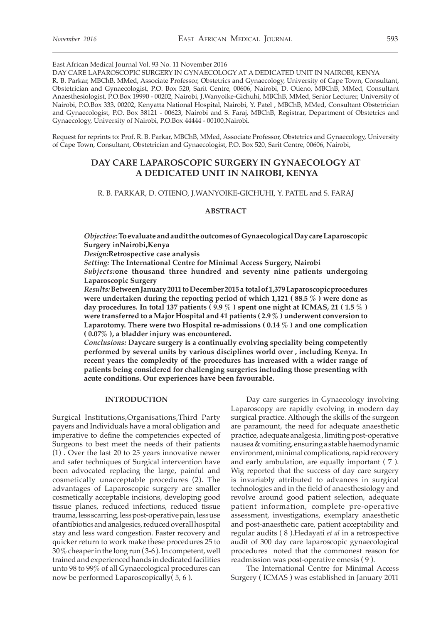East African Medical Journal Vol. 93 No. 11 November 2016

DAY CARE LAPAROSCOPIC SURGERY IN GYNAECOLOGY AT A DEDICATED UNIT IN NAIROBI, KENYA R. B. Parkar, MBChB, MMed, Associate Professor, Obstetrics and Gynaecology, University of Cape Town, Consultant, Obstetrician and Gynaecologist, P.O. Box 520, Sarit Centre, 00606, Nairobi, D. Otieno, MBChB, MMed, Consultant Anaesthesiologist, P.O.Box 19990 - 00202, Nairobi, J.Wanyoike-Gichuhi, MBChB, MMed, Senior Lecturer, University of Nairobi, P.O.Box 333, 00202, Kenyatta National Hospital, Nairobi, Y. Patel , MBChB, MMed, Consultant Obstetrician and Gynaecologist, P.O. Box 38121 - 00623, Nairobi and S. Faraj, MBChB, Registrar, Department of Obstetrics and Gynaecology, University of Nairobi, P.O.Box 44444 - 00100,Nairobi.

Request for reprints to: Prof. R. B. Parkar, MBChB, MMed, Associate Professor, Obstetrics and Gynaecology, University of Cape Town, Consultant, Obstetrician and Gynaecologist, P.O. Box 520, Sarit Centre, 00606, Nairobi,

# **DAY CARE LAPAROSCOPIC SURGERY IN GYNAECOLOGY AT A DEDICATED UNIT IN NAIROBI, KENYA**

R. B. PARKAR, D. OTIENO, J.WANYOIKE-GICHUHI, Y. PATEL and S. FARAJ

#### **ABSTRACT**

*Objective:* **To evaluate and audit the outcomes of Gynaecological Day care Laparoscopic Surgery inNairobi,Kenya**

*Design:***Retrospective case analysis**

*Setting:* **The International Centre for Minimal Access Surgery, Nairobi**

*Subjects:***one thousand three hundred and seventy nine patients undergoing Laparoscopic Surgery**

*Results:* **Between January 2011 to December 2015 a total of 1,379 Laparoscopic procedures were undertaken during the reporting period of which 1,121 ( 88.5 % ) were done as day procedures. In total 137 patients ( 9.9 % ) spent one night at ICMAS, 21 ( 1.5 % ) were transferred to a Major Hospital and 41 patients ( 2.9 % ) underwent conversion to Laparotomy. There were two Hospital re-admissions ( 0.14 % ) and one complication ( 0.07% ), a bladder injury was encountered.**

*Conclusions:* **Daycare surgery is a continually evolving speciality being competently performed by several units by various disciplines world over , including Kenya. In recent years the complexity of the procedures has increased with a wider range of patients being considered for challenging surgeries including those presenting with acute conditions. Our experiences have been favourable.**

### **INTRODUCTION**

Surgical Institutions,Organisations,Third Party payers and Individuals have a moral obligation and imperative to define the competencies expected of Surgeons to best meet the needs of their patients (1) . Over the last 20 to 25 years innovative newer and safer techniques of Surgical intervention have been advocated replacing the large, painful and cosmetically unacceptable procedures (2). The advantages of Laparoscopic surgery are smaller cosmetically acceptable incisions, developing good tissue planes, reduced infections, reduced tissue trauma, less scarring, less post-operative pain, less use of antibiotics and analgesics, reduced overall hospital stay and less ward congestion. Faster recovery and quicker return to work make these procedures 25 to 30 % cheaper in the long run ( 3-6 ). In competent, well trained and experienced hands in dedicated facilities unto 98 to 99% of all Gynaecological procedures can now be performed Laparoscopically( 5, 6 ).

Day care surgeries in Gynaecology involving Laparoscopy are rapidly evolving in modern day surgical practice. Although the skills of the surgeon are paramount, the need for adequate anaesthetic practice, adequate analgesia , limiting post-operative nausea & vomiting, ensuring a stable haemodynamic environment, minimal complications, rapid recovery and early ambulation, are equally important ( 7 ). Wig reported that the success of day care surgery is invariably attributed to advances in surgical technologies and in the field of anaesthesiology and revolve around good patient selection, adequate patient information, complete pre-operative assessment, investigations, exemplary anaesthetic and post-anaesthetic care, patient acceptability and regular audits ( 8 ).Hedayati *et al* in a retrospective audit of 300 day care laparoscopic gynaecological procedures noted that the commonest reason for readmission was post-operative emesis ( 9 ).

The International Centre for Minimal Access Surgery ( ICMAS ) was established in January 2011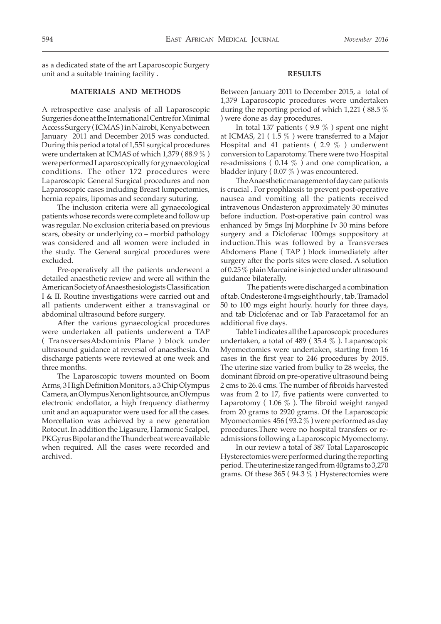as a dedicated state of the art Laparoscopic Surgery unit and a suitable training facility .

# **MATERIALS AND METHODS**

A retrospective case analysis of all Laparoscopic Surgeries done at the International Centre for Minimal Access Surgery ( ICMAS ) in Nairobi, Kenya between January 2011 and December 2015 was conducted. During this period a total of 1,551 surgical procedures were undertaken at ICMAS of which 1,379 ( 88.9 % ) were performed Laparoscopically for gynaecological conditions. The other 172 procedures were Laparoscopic General Surgical procedures and non Laparoscopic cases including Breast lumpectomies, hernia repairs, lipomas and secondary suturing.

The inclusion criteria were all gynaecological patients whose records were complete and follow up was regular. No exclusion criteria based on previous scars, obesity or underlying co – morbid pathology was considered and all women were included in the study. The General surgical procedures were excluded.

Pre-operatively all the patients underwent a detailed anaesthetic review and were all within the American Society of Anaesthesiologists Classification I & II. Routine investigations were carried out and all patients underwent either a transvaginal or abdominal ultrasound before surgery.

After the various gynaecological procedures were undertaken all patients underwent a TAP ( TransversesAbdominis Plane ) block under ultrasound guidance at reversal of anaesthesia. On discharge patients were reviewed at one week and three months.

The Laparoscopic towers mounted on Boom Arms, 3 High Definition Monitors, a 3 Chip Olympus Camera, an Olympus Xenon light source, an Olympus electronic endoflator, a high frequency diathermy unit and an aquapurator were used for all the cases. Morcellation was achieved by a new generation Rotocut. In addition the Ligasure, Harmonic Scalpel, PKGyrus Bipolar and the Thunderbeat were available when required. All the cases were recorded and archived.

#### **RESULTS**

Between January 2011 to December 2015, a total of 1,379 Laparoscopic procedures were undertaken during the reporting period of which 1,221 ( 88.5 % ) were done as day procedures.

In total 137 patients ( 9.9 % ) spent one night at ICMAS, 21 ( $1.5\%$ ) were transferred to a Major Hospital and 41 patients ( $2.9\%$ ) underwent conversion to Laparotomy. There were two Hospital re-admissions ( $0.14\%$ ) and one complication, a bladder injury ( 0.07 % ) was encountered.

The Anaesthetic management of day care patients is crucial . For prophlaxsis to prevent post-operative nausea and vomiting all the patients received intravenous Ondasteron approximately 30 minutes before induction. Post-operative pain control was enhanced by 5mgs Inj Morphine Iv 30 mins before surgery and a Diclofenac 100mgs suppository at induction.This was followed by a Transverses Abdomens Plane ( TAP ) block immediately after surgery after the ports sites were closed. A solution of 0.25 % plain Marcaine is injected under ultrasound guidance bilaterally.

 The patients were discharged a combination of tab. Ondesterone 4 mgs eight hourly , tab. Tramadol 50 to 100 mgs eight hourly. hourly for three days, and tab Diclofenac and or Tab Paracetamol for an additional five days.

Table 1 indicates all the Laparoscopic procedures undertaken, a total of 489 ( 35.4 % ). Laparoscopic Myomectomies were undertaken, starting from 16 cases in the first year to 246 procedures by 2015. The uterine size varied from bulky to 28 weeks, the dominant fibroid on pre-operative ultrasound being 2 cms to 26.4 cms. The number of fibroids harvested was from 2 to 17, five patients were converted to Laparotomy (1.06  $\%$ ). The fibroid weight ranged from 20 grams to 2920 grams. Of the Laparoscopic Myomectomies 456 ( 93.2 % ) were performed as day procedures.There were no hospital transfers or readmissions following a Laparoscopic Myomectomy.

In our review a total of 387 Total Laparoscopic Hysterectomies were performed during the reporting period. The uterine size ranged from 40grams to 3,270 grams. Of these 365 (94.3  $\%$ ) Hysterectomies were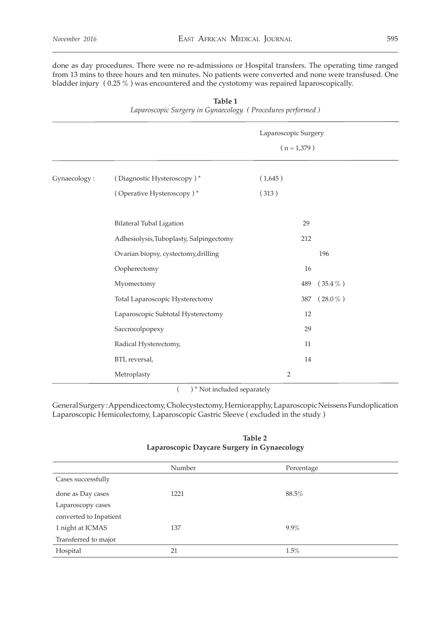done as day procedures. There were no re-admissions or Hospital transfers. The operating time ranged from 13 mins to three hours and ten minutes. No patients were converted and none were transfused. One bladder injury ( 0.25 % ) was encountered and the cystotomy was repaired laparoscopically.

| $\mathcal{O} \mathcal{Q}$ |                                         |                      |               |  |
|---------------------------|-----------------------------------------|----------------------|---------------|--|
|                           |                                         | Laparoscopic Surgery |               |  |
|                           |                                         | $(n = 1,379)$        |               |  |
|                           |                                         |                      |               |  |
| Gynaecology:              | (Diagnostic Hysteroscopy)*              | (1,645)              |               |  |
|                           | (Operative Hysteroscopy)*               | (313)                |               |  |
|                           |                                         |                      |               |  |
|                           | <b>Bilateral Tubal Ligation</b>         | 29                   |               |  |
|                           | Adhesiolysis, Tuboplasty, Salpingectomy | 212                  |               |  |
|                           | Ovarian biopsy, cystectomy, drilling    |                      | 196           |  |
|                           | Oopherectomy                            | $16\,$               |               |  |
|                           | Myomectomy                              | 489                  | $(35.4\,\%$ ) |  |
|                           | Total Laparoscopic Hysterectomy         | 387                  | $(28.0\,\%$ ) |  |
|                           | Laparoscopic Subtotal Hysterectomy      | 12                   |               |  |
|                           | Saccrocolpopexy                         | 29                   |               |  |
|                           | Radical Hysterectomy,                   | 11                   |               |  |
|                           | BTL reversal,                           | 14                   |               |  |
|                           | Metroplasty                             | $\overline{2}$       |               |  |

**Table 1** *Laparoscopic Surgery in Gynaecology ( Procedures performed )*

( ) \* Not included separately

General Surgery : Appendicectomy, Cholecystectomy, Herniorapphy, Laparoscopic Neissens Fundoplication Laparoscopic Hemicolectomy, Laparoscopic Gastric Sleeve ( excluded in the study )

# *Table 2 Table 2* **Laparoscopic Daycare Surgery in Gynaecology**

|                        | Number | Percentage |  |  |
|------------------------|--------|------------|--|--|
| Cases successfully     |        |            |  |  |
| done as Day cases      | 1221   | 88.5%      |  |  |
| Laparoscopy cases      |        |            |  |  |
| converted to Inpatient |        |            |  |  |
| 1 night at ICMAS       | 137    | $9.9\%$    |  |  |
| Transferred to major   |        |            |  |  |
| Hospital               | 21     | 1.5%       |  |  |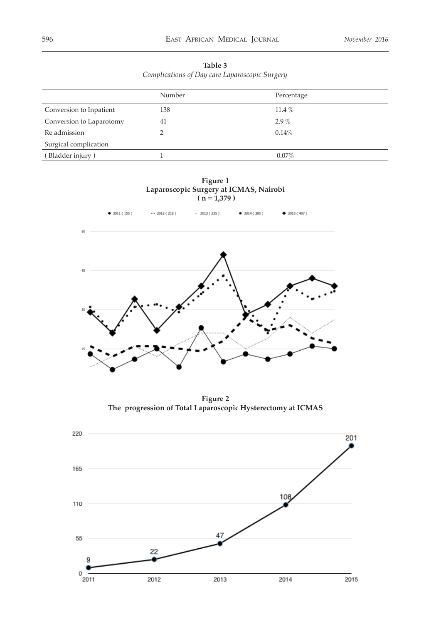| Table 3                                        |  |
|------------------------------------------------|--|
| Complications of Day care Laparoscopic Surgery |  |

|                          | Number | Percentage |
|--------------------------|--------|------------|
| Conversion to Inpatient  | 138    | 11.4 $%$   |
| Conversion to Laparotomy | 41     | $2.9\%$    |
| Re admission             | ∍      | 0.14%      |
| Surgical complication    |        |            |
| (Bladder injury)         |        | $0.07\%$   |
|                          |        |            |

**Figure 1 Laparoscopic Surgery at ICMAS, Nairobi ( n = 1,379 )**



**Figure 2 The progression of Total Laparoscopic Hysterectomy at ICMAS** 

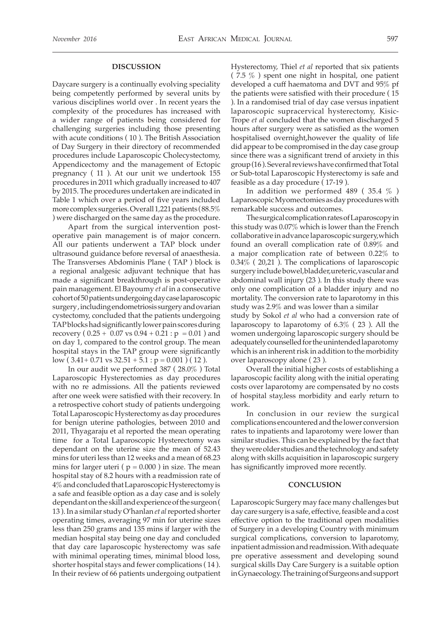### **DISCUSSION**

Daycare surgery is a continually evolving speciality being competently performed by several units by various disciplines world over . In recent years the complexity of the procedures has increased with a wider range of patients being considered for challenging surgeries including those presenting with acute conditions ( 10 ). The British Association of Day Surgery in their directory of recommended procedures include Laparoscopic Cholecystectomy, Appendicectomy and the management of Ectopic pregnancy ( 11 ). At our unit we undertook 155 procedures in 2011 which gradually increased to 407 by 2015. The procedures undertaken are indicated in Table 1 which over a period of five years included more complex surgeries. Overall 1,221 patients ( 88.5% ) were discharged on the same day as the procedure.

Apart from the surgical intervention postoperative pain management is of major concern. All our patients underwent a TAP block under ultrasound guidance before reversal of anaesthesia. The Transverses Abdominis Plane ( TAP ) block is a regional analgesic adjuvant technique that has made a significant breakthrough is post-operative pain management. El Bayoumy *et al* in a consecutive cohort of 50 patients undergoing day case laparoscopic surgery , including endometriosis surgery and ovarian cystectomy, concluded that the patients undergoing TAP blocks had significantly lower pain scores during recovery (  $0.25 + 0.07$  vs  $0.94 + 0.21$  :  $p = 0.01$  ) and on day 1, compared to the control group. The mean hospital stays in the TAP group were significantly low (  $3.41+0.71$  vs  $32.51+5.1$  :  $p = 0.001$  ) ( 12 ).

In our audit we performed 387 ( 28.0% ) Total Laparoscopic Hysterectomies as day procedures with no re admissions. All the patients reviewed after one week were satisfied with their recovery. In a retrospective cohort study of patients undergoing Total Laparoscopic Hysterectomy as day procedures for benign uterine pathologies, between 2010 and 2011, Thyagaraju et al reported the mean operating time for a Total Laparoscopic Hysterectomy was dependant on the uterine size the mean of 52.43 mins for uteri less than 12 weeks and a mean of 68.23 mins for larger uteri ( $p = 0.000$ ) in size. The mean hospital stay of 8.2 hours with a readmission rate of 4% and concluded that Laparoscopic Hysterectomy is a safe and feasible option as a day case and is solely dependant on the skill and experience of the surgeon ( 13 ). In a similar study O'hanlan *et al* reported shorter operating times, averaging 97 min for uterine sizes less than 250 grams and 135 mins if larger with the median hospital stay being one day and concluded that day care laparoscopic hysterectomy was safe with minimal operating times, minimal blood loss, shorter hospital stays and fewer complications ( 14 ). In their review of 66 patients undergoing outpatient

Hysterectomy, Thiel *et al* reported that six patients ( 7.5 % ) spent one night in hospital, one patient developed a cuff haematoma and DVT and 95% pf the patients were satisfied with their procedure ( 15 ). In a randomised trial of day case versus inpatient laparoscopic supracervical hysterectomy, Kisic-Trope *et al* concluded that the women discharged 5 hours after surgery were as satisfied as the women hospitalised overnight,however the quality of life did appear to be compromised in the day case group since there was a significant trend of anxiety in this group (16 ). Several reviews have confirmed that Total or Sub-total Laparoscopic Hysterectomy is safe and feasible as a day procedure ( 17-19 ).

In addition we performed 489 ( 35.4 % ) Laparoscopic Myomectomies as day procedures with remarkable success and outcomes.

The surgical complication rates of Laparoscopy in this study was 0.07% which is lower than the French collaborative in advance laparoscopic surgery,which found an overall complication rate of 0.89% and a major complication rate of between 0.22% to 0.34% ( 20,21 ). The complications of laparoscopic surgery include bowel,bladder,ureteric,vascular and abdominal wall injury (23 ). In this study there was only one complication of a bladder injury and no mortality. The conversion rate to laparotomy in this study was 2.9% and was lower than a similar study by Sokol *et al* who had a conversion rate of laparoscopy to laparotomy of 6.3% ( 23 ). All the women undergoing laparoscopic surgery should be adequately counselled for the unintended laparotomy which is an inherent risk in addition to the morbidity over laparoscopy alone ( 23 ).

Overall the initial higher costs of establishing a laparoscopic facility along with the initial operating costs over laparotomy are compensated by no costs of hospital stay,less morbidity and early return to work.

In conclusion in our review the surgical complications encountered and the lower conversion rates to inpatients and laparotomy were lower than similar studies. This can be explained by the fact that they were older studies and the technology and safety along with skills acquisition in laparoscopic surgery has significantly improved more recently.

# **CONCLUSION**

Laparoscopic Surgery may face many challenges but day care surgery is a safe, effective, feasible and a cost effective option to the traditional open modalities of Surgery in a developing Country with minimum surgical complications, conversion to laparotomy, inpatient admission and readmission. With adequate pre operative assessment and developing sound surgical skills Day Care Surgery is a suitable option in Gynaecology. The training of Surgeons and support